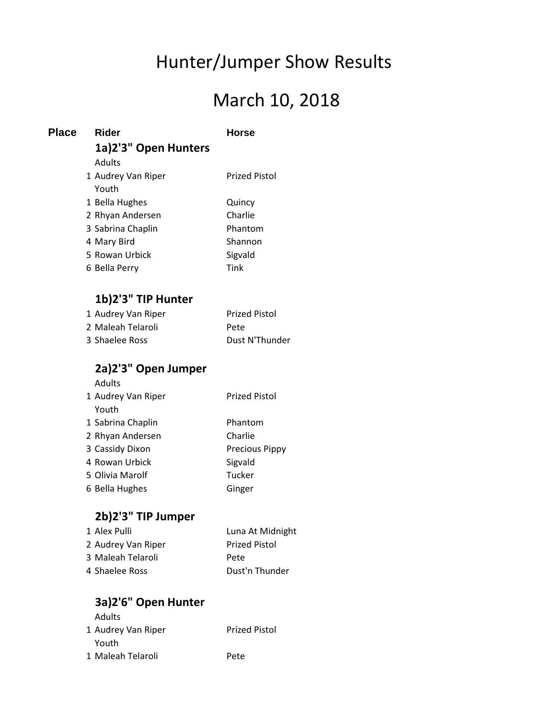# Hunter/Jumper Show Results

# March 10, 2018

| <b>Place</b> | Rider                | Horse                |
|--------------|----------------------|----------------------|
|              | 1a)2'3" Open Hunters |                      |
|              | Adults               |                      |
|              | 1 Audrey Van Riper   | Prized Pistol        |
|              | Youth                |                      |
|              | 1 Bella Hughes       | Quincy               |
|              | 2 Rhyan Andersen     | Charlie              |
|              | 3 Sabrina Chaplin    | Phantom              |
|              | 4 Mary Bird          | Shannon              |
|              | 5 Rowan Urbick       | Sigvald              |
|              | 6 Bella Perry        | Tink                 |
|              |                      |                      |
|              | 1b)2'3" TIP Hunter   |                      |
|              | 1 Audrey Van Riper   | <b>Prized Pistol</b> |

| <b>I</b> INDICT VAILING | 1112 JULIO 1   |
|-------------------------|----------------|
| 2 Maleah Telaroli       | Pete           |
| 3 Shaelee Ross          | Dust N'Thunder |

### **2a)2'3" Open Jumper**

Adults

| 1 Audrey Van Riper | <b>Prized Pistol</b>  |
|--------------------|-----------------------|
| Youth              |                       |
| 1 Sabrina Chaplin  | Phantom               |
| 2 Rhyan Andersen   | Charlie               |
| 3 Cassidy Dixon    | <b>Precious Pippy</b> |
| 4 Rowan Urbick     | Sigvald               |
| 5 Olivia Marolf    | Tucker                |
| 6 Bella Hughes     | Ginger                |

# **2b)2'3" TIP Jumper**

| 1 Alex Pulli       | Luna At Midnight     |
|--------------------|----------------------|
| 2 Audrey Van Riper | <b>Prized Pistol</b> |
| 3 Maleah Telaroli  | Pete                 |
| 4 Shaelee Ross     | Dust'n Thunder       |

# **3a)2'6" Open Hunter**

| Adults             |                      |
|--------------------|----------------------|
| 1 Audrey Van Riper | <b>Prized Pistol</b> |
| Youth              |                      |
| 1 Maleah Telaroli  | Pete                 |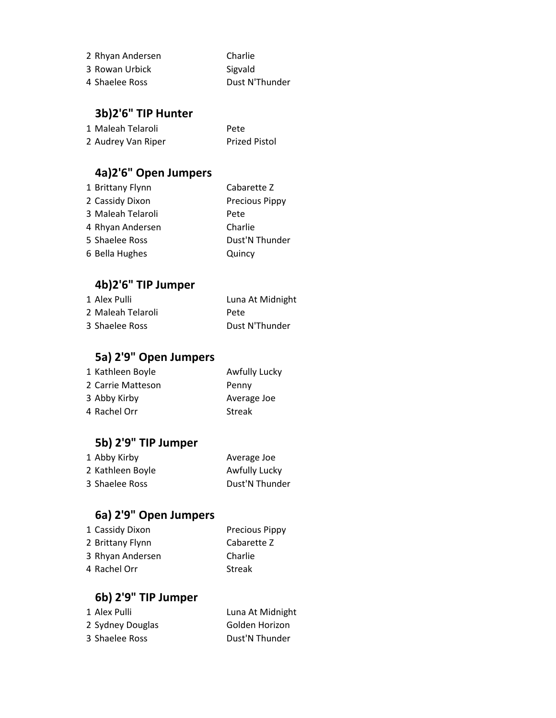| 2 Rhyan Andersen | Charlie        |
|------------------|----------------|
| 3 Rowan Urbick   | Sigvald        |
| 4 Shaelee Ross   | Dust N'Thunder |

#### **3b)2'6" TIP Hunter**

| 1 Maleah Telaroli  | Pete                 |
|--------------------|----------------------|
| 2 Audrey Van Riper | <b>Prized Pistol</b> |

# **4a)2'6" Open Jumpers**

| 1 Brittany Flynn  | Cabarette Z           |
|-------------------|-----------------------|
| 2 Cassidy Dixon   | <b>Precious Pippy</b> |
| 3 Maleah Telaroli | Pete                  |
| 4 Rhyan Andersen  | Charlie               |
| 5 Shaelee Ross    | Dust'N Thunder        |
| 6 Bella Hughes    | Quincy                |

# **4b)2'6" TIP Jumper**

| 1 Alex Pulli      | Luna At Midnight |
|-------------------|------------------|
| 2 Maleah Telaroli | Pete             |
| 3 Shaelee Ross    | Dust N'Thunder   |

# **5a) 2'9" Open Jumpers**

| <b>Awfully Lucky</b> |
|----------------------|
| Penny                |
| Average Joe          |
| <b>Streak</b>        |
|                      |

# **5b) 2'9" TIP Jumper**

| 1 Abby Kirby     | Average Joe    |
|------------------|----------------|
| 2 Kathleen Boyle | Awfully Lucky  |
| 3 Shaelee Ross   | Dust'N Thunder |

# **6a) 2'9" Open Jumpers**

| 1 Cassidy Dixon  | <b>Precious Pippy</b> |
|------------------|-----------------------|
| 2 Brittany Flynn | Cabarette Z           |
| 3 Rhyan Andersen | Charlie               |
| 4 Rachel Orr     | <b>Streak</b>         |

#### **6b) 2'9" TIP Jumper**

| 1 Alex Pulli     | Luna At Midnight |
|------------------|------------------|
| 2 Sydney Douglas | Golden Horizon   |
| 3 Shaelee Ross   | Dust'N Thunder   |
|                  |                  |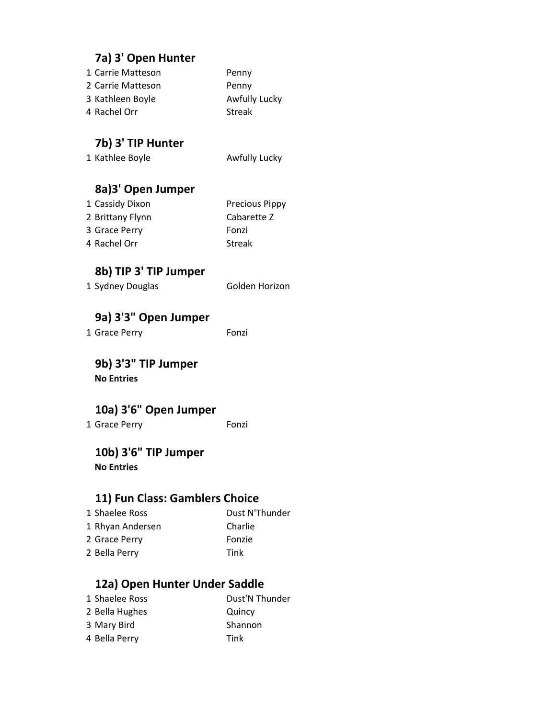#### **7a) 3' Open Hunter**

| 1 Carrie Matteson | Penny         |
|-------------------|---------------|
| 2 Carrie Matteson | Penny         |
| 3 Kathleen Boyle  | Awfully Lucky |
| 4 Rachel Orr      | Streak        |

#### **7b) 3' TIP Hunter**

1 Kathlee Boyle **Awfully Lucky** 

#### **8a)3' Open Jumper**

| 1 Cassidy Dixon  | <b>Precious Pippy</b> |
|------------------|-----------------------|
| 2 Brittany Flynn | Cabarette Z           |
| 3 Grace Perry    | Fonzi                 |
| 4 Rachel Orr     | <b>Streak</b>         |

#### **8b) TIP 3' TIP Jumper**

| 1 Sydney Douglas | Golden Horizon |
|------------------|----------------|
|                  |                |

#### **9a) 3'3" Open Jumper**

1 Grace Perry Fonzi

**9b) 3'3" TIP Jumper No Entries**

#### **10a) 3'6" Open Jumper**

1 Grace Perry Fonzi

#### **10b) 3'6" TIP Jumper**

**No Entries**

#### **11) Fun Class: Gamblers Choice**

1 Shaelee Ross Dust N'Thunder 1 Rhyan Andersen Charlie 2 Grace Perry Fonzie 2 Bella Perry Tink

#### **12a) Open Hunter Under Saddle**

1 Shaelee Ross Dust'N Thunder 2 Bella Hughes Quincy 3 Mary Bird Shannon 4 Bella Perry Tink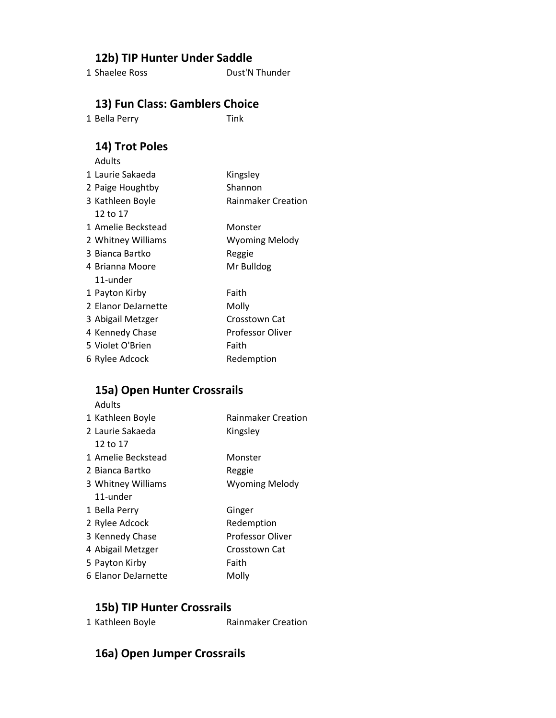#### **12b) TIP Hunter Under Saddle**

1 Shaelee Ross Dust'N Thunder

#### **13) Fun Class: Gamblers Choice**

1 Bella Perry Tink

# **14) Trot Poles**

| Kingsley                  |
|---------------------------|
| Shannon                   |
| <b>Rainmaker Creation</b> |
|                           |
| Monster                   |
| Wyoming Melody            |
| Reggie                    |
| Mr Bulldog                |
|                           |
| Faith                     |
| Molly                     |
| Crosstown Cat             |
| <b>Professor Oliver</b>   |
| Faith                     |
| Redemption                |
|                           |

#### **15a) Open Hunter Crossrails**

| Adults              |                           |
|---------------------|---------------------------|
| 1 Kathleen Boyle    | <b>Rainmaker Creation</b> |
| 2. Laurie Sakaeda   | Kingsley                  |
| 12 to 17            |                           |
| 1 Amelie Beckstead  | Monster                   |
| 2. Bianca Bartko    | Reggie                    |
| 3 Whitney Williams  | <b>Wyoming Melody</b>     |
| 11-under            |                           |
| 1 Bella Perry       | Ginger                    |
| 2 Rylee Adcock      | Redemption                |
| 3 Kennedy Chase     | Professor Oliver          |
| 4 Abigail Metzger   | Crosstown Cat             |
| 5 Payton Kirby      | Faith                     |
| 6 Elanor DeJarnette | Molly                     |

#### **15b) TIP Hunter Crossrails**

| 1 Kathleen Boyle | <b>Rainmaker Creation</b> |
|------------------|---------------------------|
|------------------|---------------------------|

#### **16a) Open Jumper Crossrails**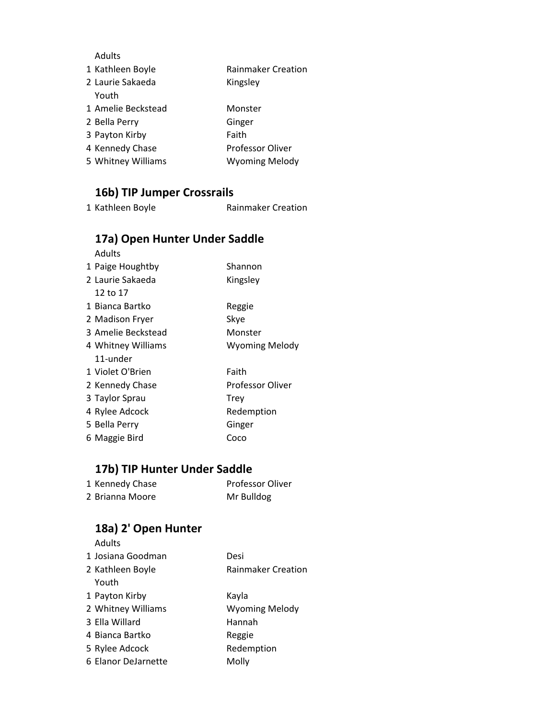#### Adults

| 1 Kathleen Boyle   | <b>Rainmaker Creation</b> |
|--------------------|---------------------------|
| 2 Laurie Sakaeda   | Kingsley                  |
| Youth              |                           |
| 1 Amelie Beckstead | Monster                   |
| 2 Bella Perry      | Ginger                    |
| 3 Payton Kirby     | Faith                     |
| 4 Kennedy Chase    | Professor Oliver          |
| 5 Whitney Williams | <b>Wyoming Melody</b>     |

# **16b) TIP Jumper Crossrails**

1 Kathleen Boyle **Rainmaker Creation** 

#### **17a) Open Hunter Under Saddle**

| Adults             |                         |
|--------------------|-------------------------|
| 1 Paige Houghtby   | Shannon                 |
| 2 Laurie Sakaeda   | Kingsley                |
| 12 to 17           |                         |
| 1 Bianca Bartko    | Reggie                  |
| 2 Madison Fryer    | Skye                    |
| 3 Amelie Beckstead | Monster                 |
| 4 Whitney Williams | <b>Wyoming Melody</b>   |
| 11-under           |                         |
| 1 Violet O'Brien   | Faith                   |
| 2 Kennedy Chase    | <b>Professor Oliver</b> |
| 3 Taylor Sprau     | Trev                    |
| 4 Rylee Adcock     | Redemption              |
| 5 Bella Perry      | Ginger                  |
| 6 Maggie Bird      | Coco                    |

# **17b) TIP Hunter Under Saddle**

| 1 Kennedy Chase | <b>Professor Oliver</b> |
|-----------------|-------------------------|
| 2 Brianna Moore | Mr Bulldog              |

#### **18a) 2' Open Hunter**

| <b>Adults</b>       |                           |
|---------------------|---------------------------|
| 1 Josiana Goodman   | Desi                      |
| 2 Kathleen Boyle    | <b>Rainmaker Creation</b> |
| Youth               |                           |
| 1 Payton Kirby      | Kayla                     |
| 2 Whitney Williams  | <b>Wyoming Melody</b>     |
| 3 Ella Willard      | Hannah                    |
| 4 Bianca Bartko     | Reggie                    |
| 5 Rylee Adcock      | Redemption                |
| 6 Elanor DeJarnette | Molly                     |
|                     |                           |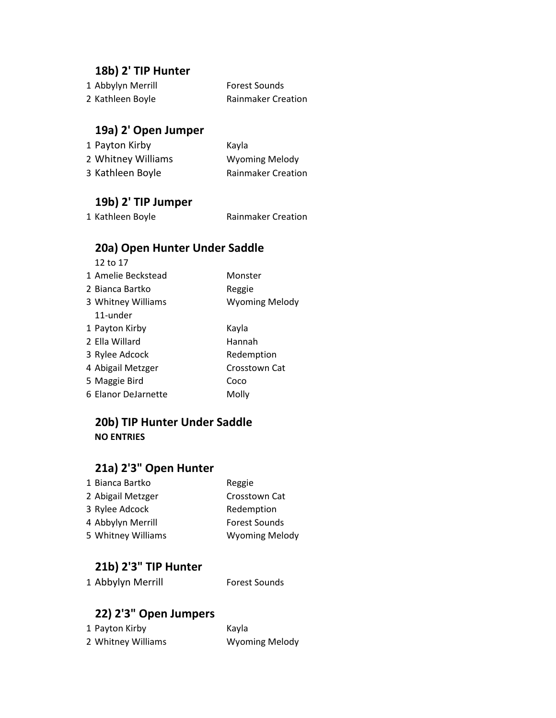#### **18b) 2' TIP Hunter**

| 1 Abbylyn Merrill | <b>Forest Sounds</b>      |
|-------------------|---------------------------|
| 2 Kathleen Boyle  | <b>Rainmaker Creation</b> |

#### **19a) 2' Open Jumper**

| 1 Payton Kirby     | Kayla                     |
|--------------------|---------------------------|
| 2 Whitney Williams | <b>Wyoming Melody</b>     |
| 3 Kathleen Boyle   | <b>Rainmaker Creation</b> |

# **19b) 2' TIP Jumper**

**Rainmaker Creation** 

# **20a) Open Hunter Under Saddle**

| 12 to 17            |                       |
|---------------------|-----------------------|
| 1 Amelie Beckstead  | Monster               |
| 2 Bianca Bartko     | Reggie                |
| 3 Whitney Williams  | <b>Wyoming Melody</b> |
| 11-under            |                       |
| 1 Payton Kirby      | Kayla                 |
| 2 Flla Willard      | Hannah                |
| 3 Rylee Adcock      | Redemption            |
| 4 Abigail Metzger   | Crosstown Cat         |
| 5 Maggie Bird       | Coco                  |
| 6 Elanor DeJarnette | Molly                 |

#### **20b) TIP Hunter Under Saddle NO ENTRIES**

# **21a) 2'3" Open Hunter**

| 1 Bianca Bartko    | Reggie                |
|--------------------|-----------------------|
| 2 Abigail Metzger  | Crosstown Cat         |
| 3 Rylee Adcock     | Redemption            |
| 4 Abbylyn Merrill  | <b>Forest Sounds</b>  |
| 5 Whitney Williams | <b>Wyoming Melody</b> |

#### **21b) 2'3" TIP Hunter**

| 1 Abbylyn Merrill | <b>Forest Sounds</b> |
|-------------------|----------------------|
|                   |                      |

### **22) 2'3" Open Jumpers**

| 1 Payton Kirby     | Kayla                 |
|--------------------|-----------------------|
| 2 Whitney Williams | <b>Wyoming Melody</b> |